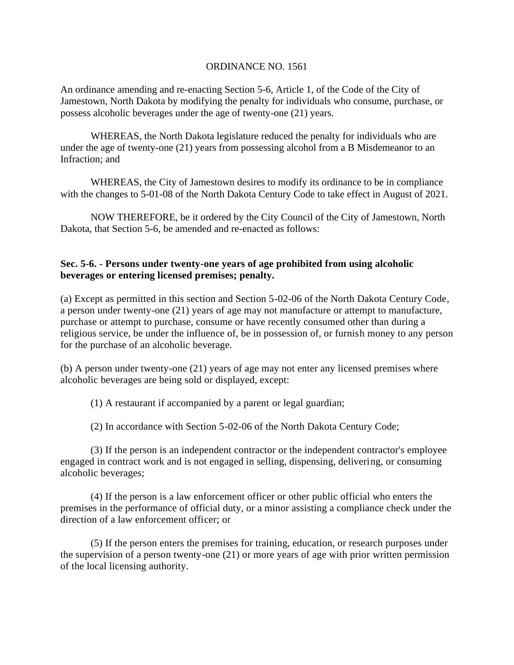## ORDINANCE NO. 1561

An ordinance amending and re-enacting Section 5-6, Article 1, of the Code of the City of Jamestown, North Dakota by modifying the penalty for individuals who consume, purchase, or possess alcoholic beverages under the age of twenty-one (21) years.

WHEREAS, the North Dakota legislature reduced the penalty for individuals who are under the age of twenty-one (21) years from possessing alcohol from a B Misdemeanor to an Infraction; and

WHEREAS, the City of Jamestown desires to modify its ordinance to be in compliance with the changes to 5-01-08 of the North Dakota Century Code to take effect in August of 2021.

NOW THEREFORE, be it ordered by the City Council of the City of Jamestown, North Dakota, that Section 5-6, be amended and re-enacted as follows:

## **Sec. 5-6. - Persons under twenty-one years of age prohibited from using alcoholic beverages or entering licensed premises; penalty.**

(a) Except as permitted in this section and Section 5-02-06 of the North Dakota Century Code, a person under twenty-one (21) years of age may not manufacture or attempt to manufacture, purchase or attempt to purchase, consume or have recently consumed other than during a religious service, be under the influence of, be in possession of, or furnish money to any person for the purchase of an alcoholic beverage.

(b) A person under twenty-one (21) years of age may not enter any licensed premises where alcoholic beverages are being sold or displayed, except:

(1) A restaurant if accompanied by a parent or legal guardian;

(2) In accordance with Section 5-02-06 of the North Dakota Century Code;

(3) If the person is an independent contractor or the independent contractor's employee engaged in contract work and is not engaged in selling, dispensing, delivering, or consuming alcoholic beverages;

(4) If the person is a law enforcement officer or other public official who enters the premises in the performance of official duty, or a minor assisting a compliance check under the direction of a law enforcement officer; or

(5) If the person enters the premises for training, education, or research purposes under the supervision of a person twenty-one (21) or more years of age with prior written permission of the local licensing authority.